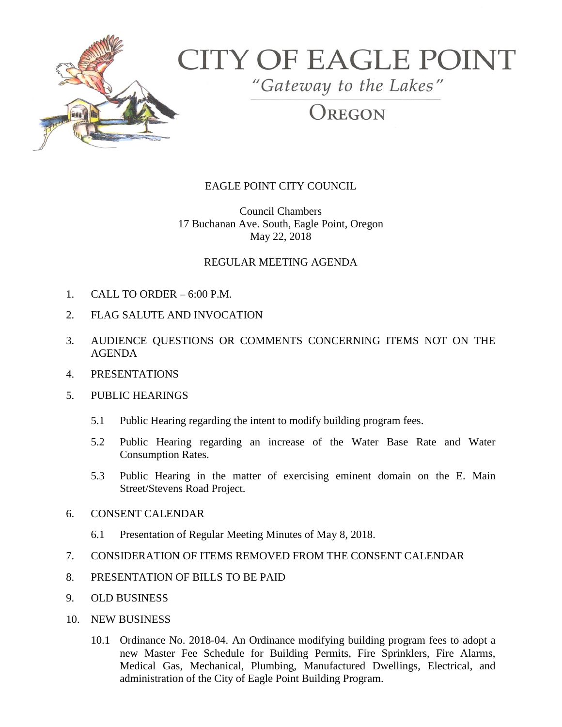

# **CITY OF EAGLE POINT**

"Gateway to the Lakes"

REGON

## EAGLE POINT CITY COUNCIL

Council Chambers 17 Buchanan Ave. South, Eagle Point, Oregon May 22, 2018

### REGULAR MEETING AGENDA

- 1. CALL TO ORDER 6:00 P.M.
- 2. FLAG SALUTE AND INVOCATION
- 3. AUDIENCE QUESTIONS OR COMMENTS CONCERNING ITEMS NOT ON THE AGENDA
- 4. PRESENTATIONS
- 5. PUBLIC HEARINGS
	- 5.1 Public Hearing regarding the intent to modify building program fees.
	- 5.2 Public Hearing regarding an increase of the Water Base Rate and Water Consumption Rates.
	- 5.3 Public Hearing in the matter of exercising eminent domain on the E. Main Street/Stevens Road Project.
- 6. CONSENT CALENDAR
	- 6.1 Presentation of Regular Meeting Minutes of May 8, 2018.
- 7. CONSIDERATION OF ITEMS REMOVED FROM THE CONSENT CALENDAR
- 8. PRESENTATION OF BILLS TO BE PAID
- 9. OLD BUSINESS
- 10. NEW BUSINESS
	- 10.1 Ordinance No. 2018-04. An Ordinance modifying building program fees to adopt a new Master Fee Schedule for Building Permits, Fire Sprinklers, Fire Alarms, Medical Gas, Mechanical, Plumbing, Manufactured Dwellings, Electrical, and administration of the City of Eagle Point Building Program.